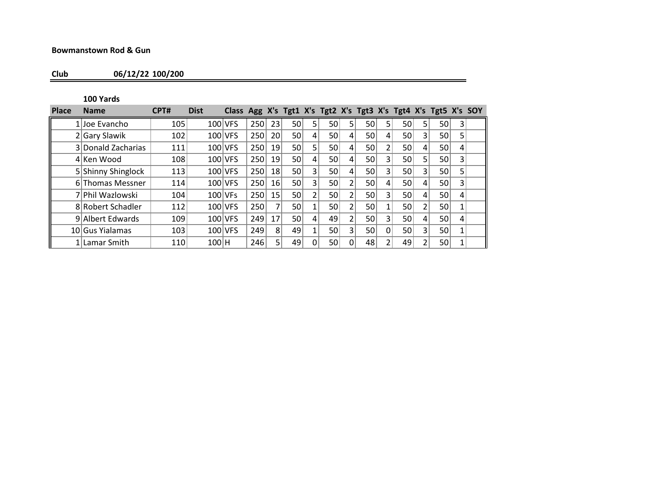## **Bowmanstown Rod & Gun**

**Club 06/12/22 100/200**

**100 Yards**

| <b>Place</b> | <b>Name</b>        | CPT# | <b>Dist</b> | Class Agg X's Tgt1 X's Tgt2 X's Tgt3 X's Tgt4 X's Tgt5 X's SOY |     |                 |    |                |    |   |                 |   |                 |                |                 |   |  |
|--------------|--------------------|------|-------------|----------------------------------------------------------------|-----|-----------------|----|----------------|----|---|-----------------|---|-----------------|----------------|-----------------|---|--|
|              | 1 Joe Evancho      | 105  | 100 VFS     |                                                                | 250 | 23              | 50 | 5 <sub>1</sub> | 50 | 5 | 50              | 5 | 50 <sup>2</sup> | 5              | 50              |   |  |
|              | 2 Gary Slawik      | 102  |             | 100 VFS                                                        | 250 | <b>20</b>       | 50 | 4              | 50 | 4 | 50              | 4 | 50              | 3              | 50              | 5 |  |
|              | 3 Donald Zacharias | 111  |             | 100 VFS                                                        | 250 | 19              | 50 |                | 50 | 4 | 50              | 2 | 50 <sub>1</sub> | 4              | 50              | 4 |  |
|              | 4 Ken Wood         | 108  |             | 100 VFS                                                        | 250 | 19              | 50 | 4              | 50 | 4 | 50              | 3 | 50 <sup>2</sup> | 5 <sub>1</sub> | 50              |   |  |
|              | 5 Shinny Shinglock | 113  |             | 100 VFS                                                        | 250 | 18              | 50 | 3              | 50 | 4 | 50              | 3 | 50 <sup>1</sup> | 3 <sup>1</sup> | 50 <sup>2</sup> | 5 |  |
|              | 6 Thomas Messner   | 114  |             | 100 VFS                                                        | 250 | 16 <sup>1</sup> | 50 | $\overline{3}$ | 50 | ำ | 50              | 4 | 50 <sup>2</sup> | 4              | 50              | 3 |  |
|              | 7 Phil Wazlowski   | 104  | 100 VFs     |                                                                | 250 | 15              | 50 | 2              | 50 | h | 50              | 3 | 50 <sup>2</sup> | 4              | 50              | 4 |  |
|              | 8 Robert Schadler  | 112  |             | $100$ VFS                                                      | 250 |                 | 50 |                | 50 |   | 50              |   | 50              | ำ              | 50              |   |  |
|              | 9 Albert Edwards   | 109  |             | 100 VFS                                                        | 249 | 17              | 50 | 4              | 49 |   | 50 <sub>1</sub> | 3 | 50              | 4              | 50 <sup>2</sup> | 4 |  |
|              | 10 Gus Yialamas    | 103  |             | 100 VFS                                                        | 249 | 8               | 49 |                | 50 | 3 | 50 <sub>1</sub> | 0 | 50 <sup>1</sup> | 3 <sup>1</sup> | 50              |   |  |
|              | 1 Lamar Smith      | 110  | $100$ H     |                                                                | 246 |                 | 49 |                | 50 | 0 | 48              |   | 49              |                | 50 <sup>2</sup> |   |  |